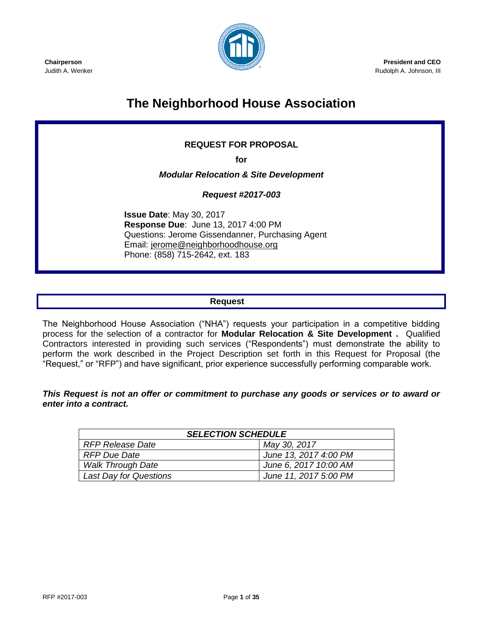

**President and CEO** Rudolph A. Johnson, III

#### **Chairperson** Judith A. Wenker

# **The Neighborhood House Association**

# **REQUEST FOR PROPOSAL**

**for** 

*Modular Relocation & Site Development* 

*Request #2017-003*

**Issue Date**: May 30, 2017 **Response Due**: June 13, 2017 4:00 PM Questions: Jerome Gissendanner, Purchasing Agent Email: [jerome@neighborhoodhouse.org](mailto:jerome@neighborhoodhouse.org) Phone: (858) 715-2642, ext. 183

# **Request**

The Neighborhood House Association ("NHA") requests your participation in a competitive bidding process for the selection of a contractor for **Modular Relocation & Site Development .** Qualified Contractors interested in providing such services ("Respondents") must demonstrate the ability to perform the work described in the Project Description set forth in this Request for Proposal (the "Request," or "RFP") and have significant, prior experience successfully performing comparable work.

*This Request is not an offer or commitment to purchase any goods or services or to award or enter into a contract.*

| <b>SELECTION SCHEDULE</b>     |                       |  |  |  |
|-------------------------------|-----------------------|--|--|--|
| <b>RFP Release Date</b>       | May 30, 2017          |  |  |  |
| <b>RFP Due Date</b>           | June 13, 2017 4:00 PM |  |  |  |
| <b>Walk Through Date</b>      | June 6, 2017 10:00 AM |  |  |  |
| <b>Last Day for Questions</b> | June 11, 2017 5:00 PM |  |  |  |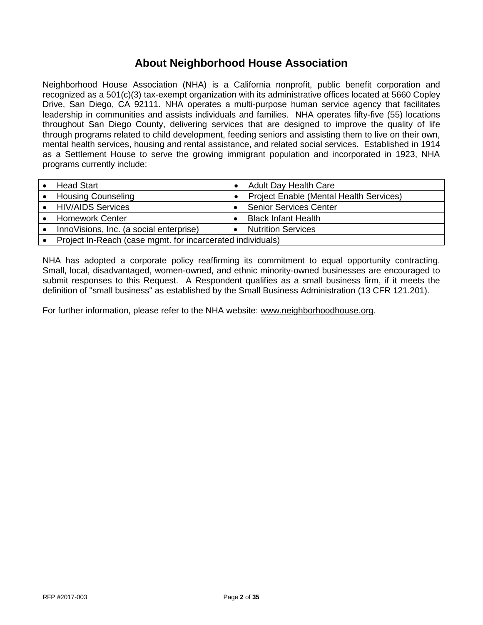# **About Neighborhood House Association**

Neighborhood House Association (NHA) is a California nonprofit, public benefit corporation and recognized as a 501(c)(3) tax-exempt organization with its administrative offices located at 5660 Copley Drive, San Diego, CA 92111. NHA operates a multi-purpose human service agency that facilitates leadership in communities and assists individuals and families. NHA operates fifty-five (55) locations throughout San Diego County, delivering services that are designed to improve the quality of life through programs related to child development, feeding seniors and assisting them to live on their own, mental health services, housing and rental assistance, and related social services. Established in 1914 as a Settlement House to serve the growing immigrant population and incorporated in 1923, NHA programs currently include:

| <b>Head Start</b>                                          |  | <b>Adult Day Health Care</b>            |
|------------------------------------------------------------|--|-----------------------------------------|
| <b>Housing Counseling</b>                                  |  | Project Enable (Mental Health Services) |
| <b>HIV/AIDS Services</b>                                   |  | <b>Senior Services Center</b>           |
| <b>Homework Center</b>                                     |  | <b>Black Infant Health</b>              |
| InnoVisions, Inc. (a social enterprise)                    |  | <b>Nutrition Services</b>               |
| Project In-Reach (case mgmt. for incarcerated individuals) |  |                                         |

NHA has adopted a corporate policy reaffirming its commitment to equal opportunity contracting. Small, local, disadvantaged, women-owned, and ethnic minority-owned businesses are encouraged to submit responses to this Request. A Respondent qualifies as a small business firm, if it meets the definition of "small business" as established by the Small Business Administration (13 CFR 121.201).

For further information, please refer to the NHA website: [www.neighborhoodhouse.org.](http://www.neighborhoodhouse.org/)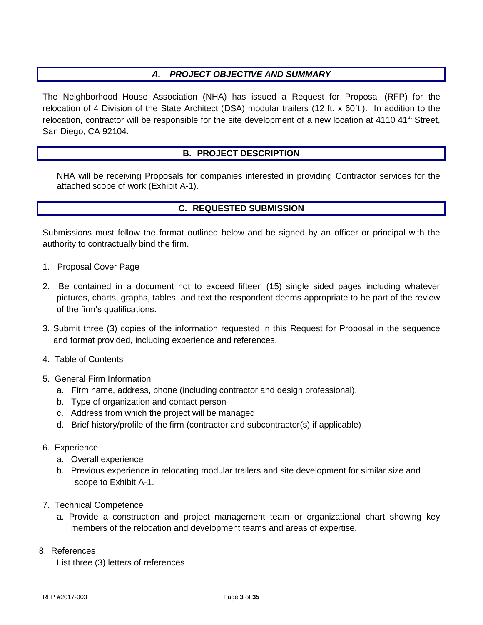# *A. PROJECT OBJECTIVE AND SUMMARY*

The Neighborhood House Association (NHA) has issued a Request for Proposal (RFP) for the relocation of 4 Division of the State Architect (DSA) modular trailers (12 ft. x 60ft.). In addition to the relocation, contractor will be responsible for the site development of a new location at 4110 41<sup>st</sup> Street, San Diego, CA 92104.

# **B. PROJECT DESCRIPTION**

NHA will be receiving Proposals for companies interested in providing Contractor services for the attached scope of work (Exhibit A-1).

#### **C. REQUESTED SUBMISSION**

Submissions must follow the format outlined below and be signed by an officer or principal with the authority to contractually bind the firm.

- 1. Proposal Cover Page
- 2. Be contained in a document not to exceed fifteen (15) single sided pages including whatever pictures, charts, graphs, tables, and text the respondent deems appropriate to be part of the review of the firm's qualifications.
- 3. Submit three (3) copies of the information requested in this Request for Proposal in the sequence and format provided, including experience and references.
- 4. Table of Contents
- 5. General Firm Information
	- a. Firm name, address, phone (including contractor and design professional).
	- b. Type of organization and contact person
	- c. Address from which the project will be managed
	- d. Brief history/profile of the firm (contractor and subcontractor(s) if applicable)
- 6. Experience
	- a. Overall experience
	- b. Previous experience in relocating modular trailers and site development for similar size and scope to Exhibit A-1.
- 7. Technical Competence
	- a. Provide a construction and project management team or organizational chart showing key members of the relocation and development teams and areas of expertise.

#### 8. References

List three (3) letters of references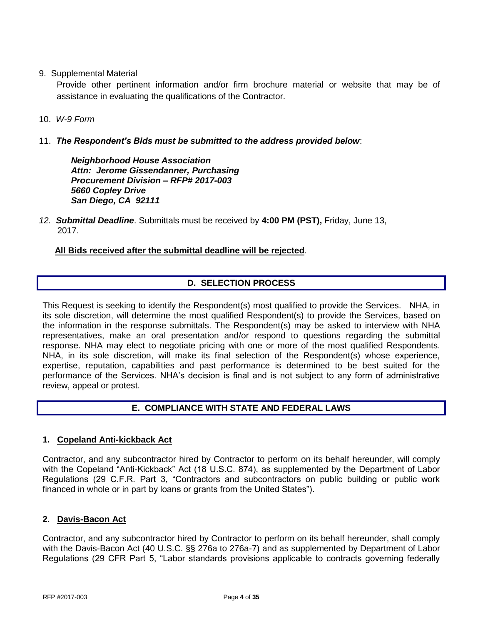9. Supplemental Material

Provide other pertinent information and/or firm brochure material or website that may be of assistance in evaluating the qualifications of the Contractor.

- 10. *W-9 Form*
- 11. *The Respondent's Bids must be submitted to the address provided below*:

*Neighborhood House Association Attn: Jerome Gissendanner, Purchasing Procurement Division – RFP# 2017-003 5660 Copley Drive San Diego, CA 92111*

*12. Submittal Deadline*. Submittals must be received by **4:00 PM (PST),** Friday, June 13, 2017.

 **All Bids received after the submittal deadline will be rejected**.

# **D. SELECTION PROCESS**

This Request is seeking to identify the Respondent(s) most qualified to provide the Services. NHA, in its sole discretion, will determine the most qualified Respondent(s) to provide the Services, based on the information in the response submittals. The Respondent(s) may be asked to interview with NHA representatives, make an oral presentation and/or respond to questions regarding the submittal response. NHA may elect to negotiate pricing with one or more of the most qualified Respondents. NHA, in its sole discretion, will make its final selection of the Respondent(s) whose experience, expertise, reputation, capabilities and past performance is determined to be best suited for the performance of the Services. NHA's decision is final and is not subject to any form of administrative review, appeal or protest.

# **E. COMPLIANCE WITH STATE AND FEDERAL LAWS**

#### **1. Copeland Anti-kickback Act**

Contractor, and any subcontractor hired by Contractor to perform on its behalf hereunder, will comply with the Copeland "Anti-Kickback" Act (18 U.S.C. 874), as supplemented by the Department of Labor Regulations (29 C.F.R. Part 3, "Contractors and subcontractors on public building or public work financed in whole or in part by loans or grants from the United States").

#### **2. Davis-Bacon Act**

Contractor, and any subcontractor hired by Contractor to perform on its behalf hereunder, shall comply with the Davis-Bacon Act (40 U.S.C. §§ 276a to 276a-7) and as supplemented by Department of Labor Regulations (29 CFR Part 5, "Labor standards provisions applicable to contracts governing federally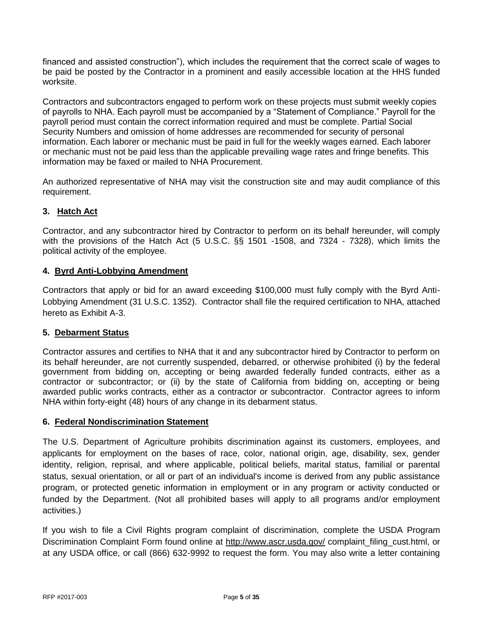financed and assisted construction"), which includes the requirement that the correct scale of wages to be paid be posted by the Contractor in a prominent and easily accessible location at the HHS funded worksite.

Contractors and subcontractors engaged to perform work on these projects must submit weekly copies of payrolls to NHA. Each payroll must be accompanied by a "Statement of Compliance." Payroll for the payroll period must contain the correct information required and must be complete. Partial Social Security Numbers and omission of home addresses are recommended for security of personal information. Each laborer or mechanic must be paid in full for the weekly wages earned. Each laborer or mechanic must not be paid less than the applicable prevailing wage rates and fringe benefits. This information may be faxed or mailed to NHA Procurement.

An authorized representative of NHA may visit the construction site and may audit compliance of this requirement.

# **3. Hatch Act**

Contractor, and any subcontractor hired by Contractor to perform on its behalf hereunder, will comply with the provisions of the Hatch Act (5 U.S.C. §§ 1501 -1508, and 7324 - 7328), which limits the political activity of the employee.

# **4. Byrd Anti-Lobbying Amendment**

Contractors that apply or bid for an award exceeding \$100,000 must fully comply with the Byrd Anti-Lobbying Amendment (31 U.S.C. 1352). Contractor shall file the required certification to NHA, attached hereto as Exhibit A-3.

#### **5. Debarment Status**

Contractor assures and certifies to NHA that it and any subcontractor hired by Contractor to perform on its behalf hereunder, are not currently suspended, debarred, or otherwise prohibited (i) by the federal government from bidding on, accepting or being awarded federally funded contracts, either as a contractor or subcontractor; or (ii) by the state of California from bidding on, accepting or being awarded public works contracts, either as a contractor or subcontractor. Contractor agrees to inform NHA within forty-eight (48) hours of any change in its debarment status.

#### **6. Federal Nondiscrimination Statement**

The U.S. Department of Agriculture prohibits discrimination against its customers, employees, and applicants for employment on the bases of race, color, national origin, age, disability, sex, gender identity, religion, reprisal, and where applicable, political beliefs, marital status, familial or parental status, sexual orientation, or all or part of an individual's income is derived from any public assistance program, or protected genetic information in employment or in any program or activity conducted or funded by the Department. (Not all prohibited bases will apply to all programs and/or employment activities.)

If you wish to file a Civil Rights program complaint of discrimination, complete the USDA Program Discrimination Complaint Form found online at<http://www.ascr.usda.gov/> complaint filing cust.html, or at any USDA office, or call (866) 632-9992 to request the form. You may also write a letter containing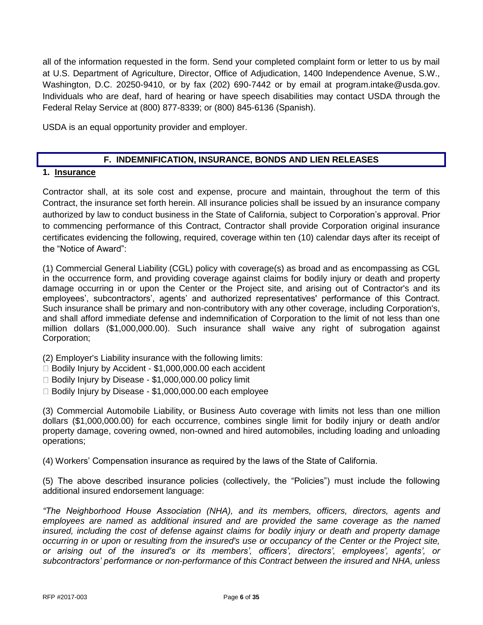all of the information requested in the form. Send your completed complaint form or letter to us by mail at U.S. Department of Agriculture, Director, Office of Adjudication, 1400 Independence Avenue, S.W., Washington, D.C. 20250-9410, or by fax (202) 690-7442 or by email at program.intake@usda.gov. Individuals who are deaf, hard of hearing or have speech disabilities may contact USDA through the Federal Relay Service at (800) 877-8339; or (800) 845-6136 (Spanish).

USDA is an equal opportunity provider and employer.

# **F. INDEMNIFICATION, INSURANCE, BONDS AND LIEN RELEASES**

#### **1. Insurance**

Contractor shall, at its sole cost and expense, procure and maintain, throughout the term of this Contract, the insurance set forth herein. All insurance policies shall be issued by an insurance company authorized by law to conduct business in the State of California, subject to Corporation's approval. Prior to commencing performance of this Contract, Contractor shall provide Corporation original insurance certificates evidencing the following, required, coverage within ten (10) calendar days after its receipt of the "Notice of Award":

(1) Commercial General Liability (CGL) policy with coverage(s) as broad and as encompassing as CGL in the occurrence form, and providing coverage against claims for bodily injury or death and property damage occurring in or upon the Center or the Project site, and arising out of Contractor's and its employees', subcontractors', agents' and authorized representatives' performance of this Contract. Such insurance shall be primary and non-contributory with any other coverage, including Corporation's, and shall afford immediate defense and indemnification of Corporation to the limit of not less than one million dollars (\$1,000,000.00). Such insurance shall waive any right of subrogation against Corporation;

- (2) Employer's Liability insurance with the following limits:
- □ Bodily Injury by Accident \$1,000,000.00 each accident
- $\Box$  Bodily Injury by Disease \$1,000,000.00 policy limit
- □ Bodily Injury by Disease \$1,000,000.00 each employee

(3) Commercial Automobile Liability, or Business Auto coverage with limits not less than one million dollars (\$1,000,000.00) for each occurrence, combines single limit for bodily injury or death and/or property damage, covering owned, non-owned and hired automobiles, including loading and unloading operations;

(4) Workers' Compensation insurance as required by the laws of the State of California.

(5) The above described insurance policies (collectively, the "Policies") must include the following additional insured endorsement language:

*"The Neighborhood House Association (NHA), and its members, officers, directors, agents and employees are named as additional insured and are provided the same coverage as the named insured, including the cost of defense against claims for bodily injury or death and property damage occurring in or upon or resulting from the insured's use or occupancy of the Center or the Project site, or arising out of the insured's or its members', officers', directors', employees', agents', or subcontractors' performance or non-performance of this Contract between the insured and NHA, unless*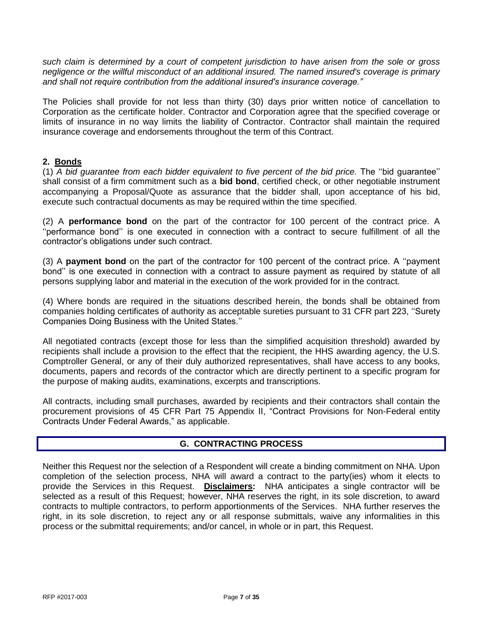*such claim is determined by a court of competent jurisdiction to have arisen from the sole or gross negligence or the willful misconduct of an additional insured. The named insured's coverage is primary and shall not require contribution from the additional insured's insurance coverage."* 

The Policies shall provide for not less than thirty (30) days prior written notice of cancellation to Corporation as the certificate holder. Contractor and Corporation agree that the specified coverage or limits of insurance in no way limits the liability of Contractor. Contractor shall maintain the required insurance coverage and endorsements throughout the term of this Contract.

#### **2. Bonds**

(1) *A bid guarantee from each bidder equivalent to five percent of the bid price.* The''bidguarantee'' shall consist of a firm commitment such as a **bid bond**, certified check, or other negotiable instrument accompanying a Proposal/Quote as assurance that the bidder shall, upon acceptance of his bid, execute such contractual documents as may be required within the time specified.

(2) A **performance bond** on the part of the contractor for 100 percent of the contract price. A ''performance bond'' is one executed in connection with a contract to secure fulfillment of all the contractor's obligations under such contract.

(3) A **payment bond** on the part of the contractor for 100 percent of the contract price. A "payment bond" is one executed in connection with a contract to assure payment as required by statute of all persons supplying labor and material in the execution of the work provided for in the contract.

(4) Where bonds are required in the situations described herein, the bonds shall be obtained from companies holding certificates of authority as acceptable sureties pursuant to 31 CFR part 223, "Surety Companies Doing Business with the United States."

All negotiated contracts (except those for less than the simplified acquisition threshold) awarded by recipients shall include a provision to the effect that the recipient, the HHS awarding agency, the U.S. Comptroller General, or any of their duly authorized representatives, shall have access to any books, documents, papers and records of the contractor which are directly pertinent to a specific program for the purpose of making audits, examinations, excerpts and transcriptions.

All contracts, including small purchases, awarded by recipients and their contractors shall contain the procurement provisions of 45 CFR Part 75 Appendix II, "Contract Provisions for Non-Federal entity Contracts Under Federal Awards," as applicable.

#### **G. CONTRACTING PROCESS**

Neither this Request nor the selection of a Respondent will create a binding commitment on NHA. Upon completion of the selection process, NHA will award a contract to the party(ies) whom it elects to provide the Services in this Request. **Disclaimers:** NHA anticipates a single contractor will be selected as a result of this Request; however, NHA reserves the right, in its sole discretion, to award contracts to multiple contractors, to perform apportionments of the Services. NHA further reserves the right, in its sole discretion, to reject any or all response submittals, waive any informalities in this process or the submittal requirements; and/or cancel, in whole or in part, this Request.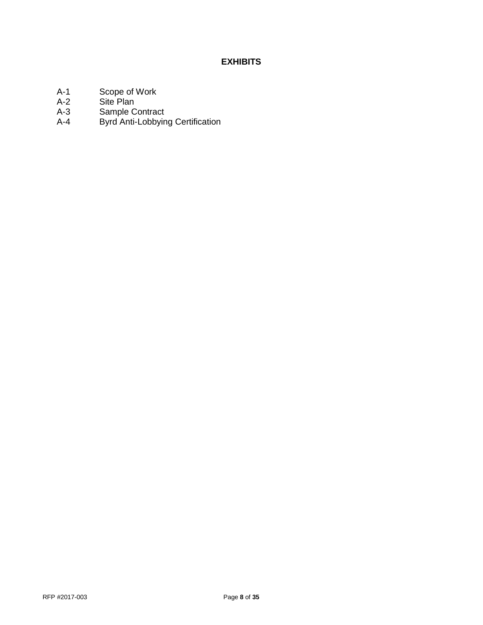# **EXHIBITS**

- A-1 Scope of Work<br>A-2 Site Plan
- A-2 Site Plan<br>A-3 Sample C
- Sample Contract
- A-4 Byrd Anti-Lobbying Certification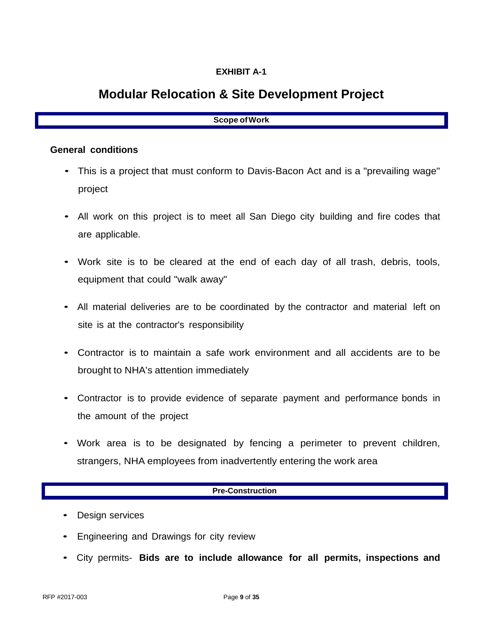# **EXHIBIT A-1**

# **Modular Relocation & Site Development Project**

# **Scope ofWork**

### **General conditions**

- This is a project that must conform to Davis-Bacon Act and is a "prevailing wage" project
- All work on this project is to meet all San Diego city building and fire codes that are applicable.
- Work site is to be cleared at the end of each day of all trash, debris, tools, equipment that could "walk away"
- All material deliveries are to be coordinated by the contractor and material left on site is at the contractor's responsibility
- Contractor is to maintain a safe work environment and all accidents are to be brought to NHA's attention immediately
- Contractor is to provide evidence of separate payment and performance bonds in the amount of the project
- Work area is to be designated by fencing a perimeter to prevent children, strangers, NHA employees from inadvertently entering the work area

# **Pre-Construction**

- Design services
- Engineering and Drawings for city review
- City permits- **Bids are to include allowance for all permits, inspections and**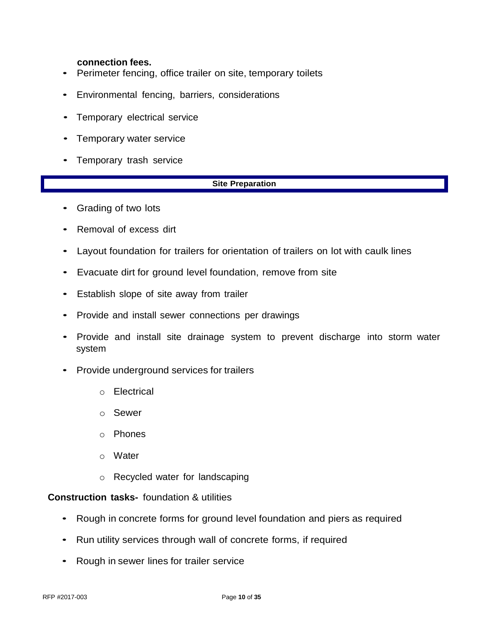### **connection fees.**

- Perimeter fencing, office trailer on site, temporary toilets
- Environmental fencing, barriers, considerations
- Temporary electrical service
- Temporary water service
- Temporary trash service

#### **Site Preparation**

- Grading of two lots
- Removal of excess dirt
- Layout foundation for trailers for orientation of trailers on lot with caulk lines
- Evacuate dirt for ground level foundation, remove from site
- Establish slope of site away from trailer
- Provide and install sewer connections per drawings
- Provide and install site drainage system to prevent discharge into storm water system
- Provide underground services for trailers
	- o Electrical
	- o Sewer
	- o Phones
	- o Water
	- o Recycled water for landscaping

### **Construction tasks-** foundation & utilities

- Rough in concrete forms for ground level foundation and piers as required
- Run utility services through wall of concrete forms, if required
- Rough in sewer lines for trailer service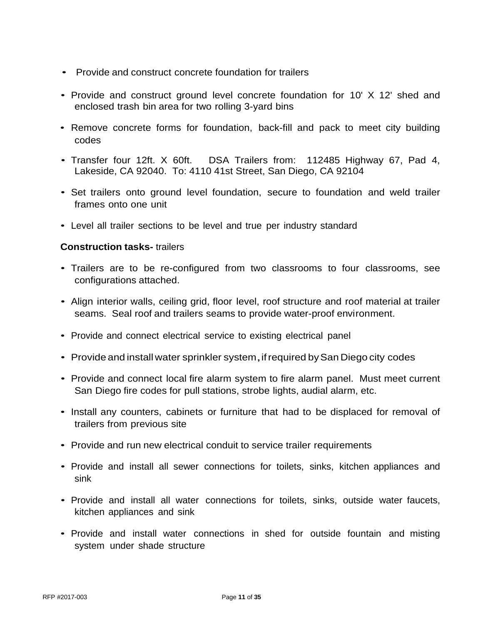- Provide and construct concrete foundation for trailers
- Provide and construct ground level concrete foundation for 10' X 12' shed and enclosed trash bin area for two rolling 3-yard bins
- Remove concrete forms for foundation, back-fill and pack to meet city building codes
- Transfer four 12ft. X 60ft. DSA Trailers from: 112485 Highway 67, Pad 4, Lakeside, CA 92040. To: 4110 41st Street, San Diego, CA 92104
- Set trailers onto ground level foundation, secure to foundation and weld trailer frames onto one unit
- Level all trailer sections to be level and true per industry standard

# **Construction tasks-** trailers

- Trailers are to be re-configured from two classrooms to four classrooms, see configurations attached.
- Align interior walls, ceiling grid, floor level, roof structure and roof material at trailer seams. Seal roof and trailers seams to provide water-proof environment.
- Provide and connect electrical service to existing electrical panel
- Provide and install water sprinkler system, if required by San Diego city codes
- Provide and connect local fire alarm system to fire alarm panel. Must meet current San Diego fire codes for pull stations, strobe lights, audial alarm, etc.
- Install any counters, cabinets or furniture that had to be displaced for removal of trailers from previous site
- Provide and run new electrical conduit to service trailer requirements
- Provide and install all sewer connections for toilets, sinks, kitchen appliances and sink
- Provide and install all water connections for toilets, sinks, outside water faucets, kitchen appliances and sink
- Provide and install water connections in shed for outside fountain and misting system under shade structure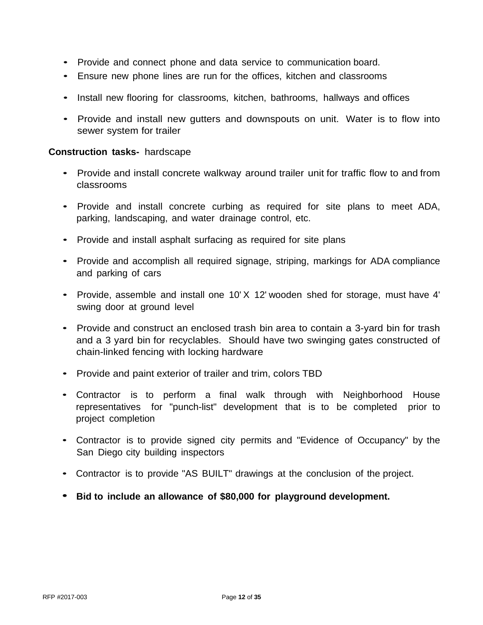- Provide and connect phone and data service to communication board.
- Ensure new phone lines are run for the offices, kitchen and classrooms
- Install new flooring for classrooms, kitchen, bathrooms, hallways and offices
- Provide and install new gutters and downspouts on unit. Water is to flow into sewer system for trailer

### **Construction tasks-** hardscape

- Provide and install concrete walkway around trailer unit for traffic flow to and from classrooms
- Provide and install concrete curbing as required for site plans to meet ADA, parking, landscaping, and water drainage control, etc.
- Provide and install asphalt surfacing as required for site plans
- Provide and accomplish all required signage, striping, markings for ADA compliance and parking of cars
- Provide, assemble and install one 10' X 12' wooden shed for storage, must have 4' swing door at ground level
- Provide and construct an enclosed trash bin area to contain a 3-yard bin for trash and a 3 yard bin for recyclables. Should have two swinging gates constructed of chain-linked fencing with locking hardware
- Provide and paint exterior of trailer and trim, colors TBD
- Contractor is to perform a final walk through with Neighborhood House representatives for "punch-list" development that is to be completed prior to project completion
- Contractor is to provide signed city permits and "Evidence of Occupancy" by the San Diego city building inspectors
- Contractor is to provide "AS BUILT" drawings at the conclusion of the project.
- **Bid to include an allowance of \$80,000 for playground development.**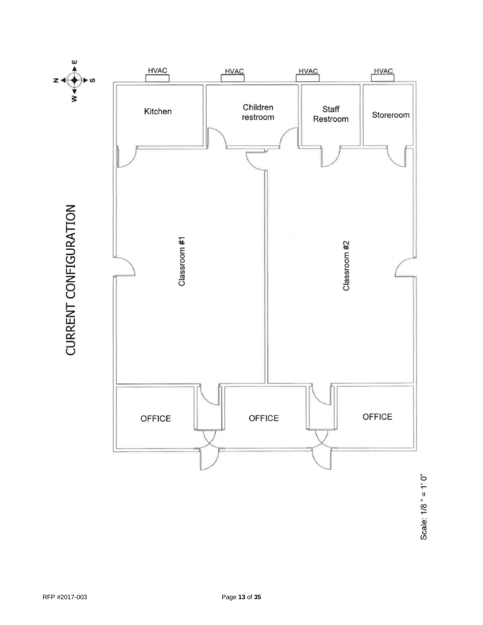

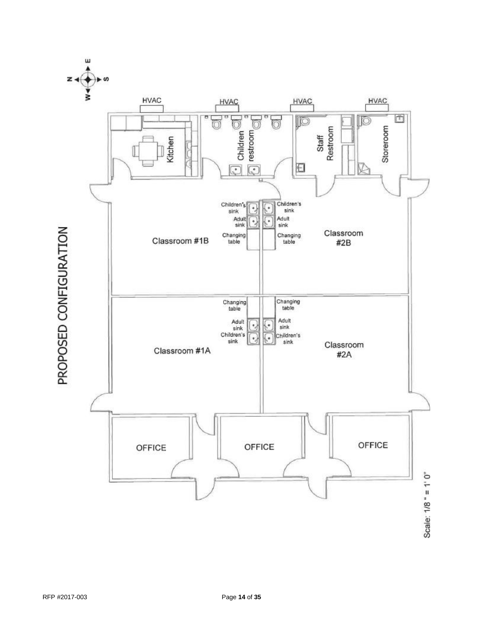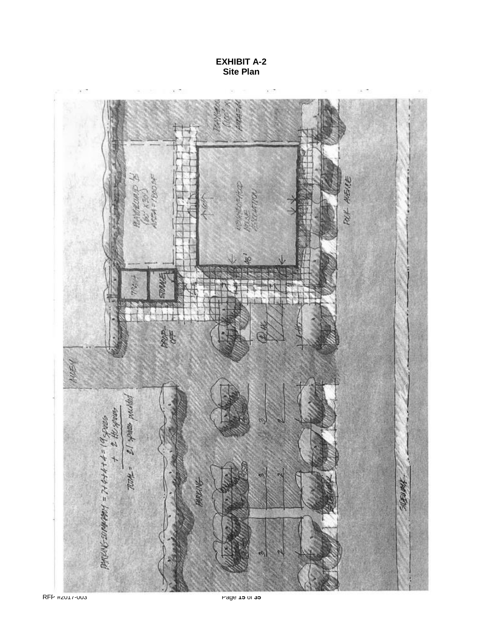**EXHIBIT A-2 Site Plan**

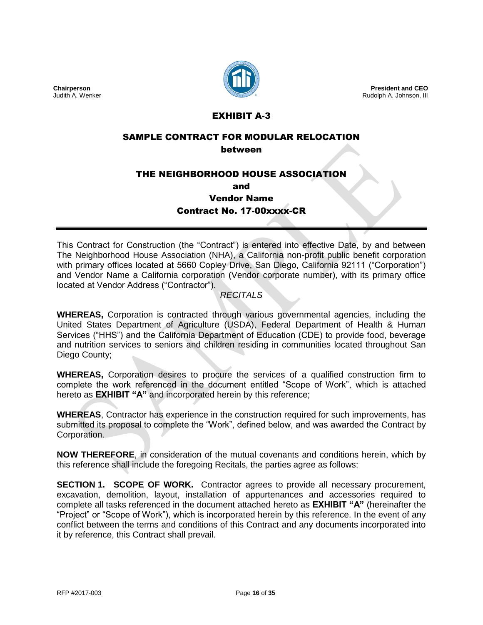

**President and CEO** Rudolph A. Johnson, III

# EXHIBIT A-3

#### SAMPLE CONTRACT FOR MODULAR RELOCATION between

# THE NEIGHBORHOOD HOUSE ASSOCIATION

and

Vendor Name

Contract No. 17-00xxxx-CR

This Contract for Construction (the "Contract") is entered into effective Date, by and between The Neighborhood House Association (NHA), a California non-profit public benefit corporation with primary offices located at 5660 Copley Drive, San Diego, California 92111 ("Corporation") and Vendor Name a California corporation (Vendor corporate number), with its primary office located at Vendor Address ("Contractor").

# *RECITALS*

**WHEREAS,** Corporation is contracted through various governmental agencies, including the United States Department of Agriculture (USDA), Federal Department of Health & Human Services ("HHS") and the California Department of Education (CDE) to provide food, beverage and nutrition services to seniors and children residing in communities located throughout San Diego County;

**WHEREAS,** Corporation desires to procure the services of a qualified construction firm to complete the work referenced in the document entitled "Scope of Work", which is attached hereto as **EXHIBIT "A"** and incorporated herein by this reference;

**WHEREAS**, Contractor has experience in the construction required for such improvements, has submitted its proposal to complete the "Work", defined below, and was awarded the Contract by Corporation.

**NOW THEREFORE**, in consideration of the mutual covenants and conditions herein, which by this reference shall include the foregoing Recitals, the parties agree as follows:

**SECTION 1. SCOPE OF WORK.** Contractor agrees to provide all necessary procurement, excavation, demolition, layout, installation of appurtenances and accessories required to complete all tasks referenced in the document attached hereto as **EXHIBIT "A"** (hereinafter the "Project" or "Scope of Work"), which is incorporated herein by this reference. In the event of any conflict between the terms and conditions of this Contract and any documents incorporated into it by reference, this Contract shall prevail.

**Chairperson** Judith A. Wenker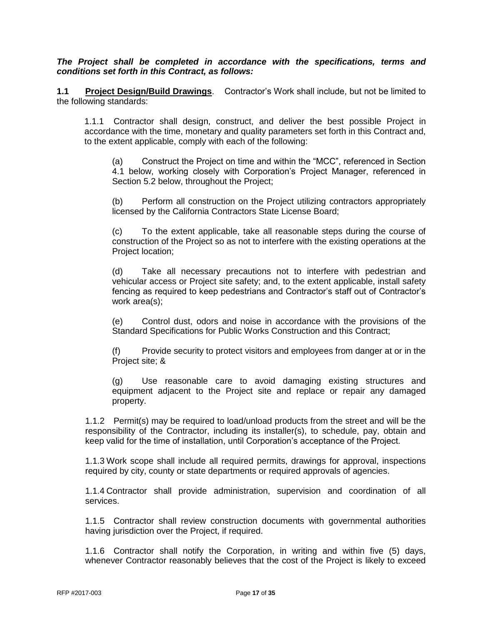*The Project shall be completed in accordance with the specifications, terms and conditions set forth in this Contract, as follows:*

**1.1 Project Design/Build Drawings**. Contractor's Work shall include, but not be limited to the following standards:

1.1.1 Contractor shall design, construct, and deliver the best possible Project in accordance with the time, monetary and quality parameters set forth in this Contract and, to the extent applicable, comply with each of the following:

(a) Construct the Project on time and within the "MCC", referenced in Section 4.1 below, working closely with Corporation's Project Manager, referenced in Section 5.2 below, throughout the Project;

(b) Perform all construction on the Project utilizing contractors appropriately licensed by the California Contractors State License Board;

(c) To the extent applicable, take all reasonable steps during the course of construction of the Project so as not to interfere with the existing operations at the Project location;

(d) Take all necessary precautions not to interfere with pedestrian and vehicular access or Project site safety; and, to the extent applicable, install safety fencing as required to keep pedestrians and Contractor's staff out of Contractor's work area(s);

(e) Control dust, odors and noise in accordance with the provisions of the Standard Specifications for Public Works Construction and this Contract;

(f) Provide security to protect visitors and employees from danger at or in the Project site; &

(g) Use reasonable care to avoid damaging existing structures and equipment adjacent to the Project site and replace or repair any damaged property.

1.1.2 Permit(s) may be required to load/unload products from the street and will be the responsibility of the Contractor, including its installer(s), to schedule, pay, obtain and keep valid for the time of installation, until Corporation's acceptance of the Project.

1.1.3 Work scope shall include all required permits, drawings for approval, inspections required by city, county or state departments or required approvals of agencies.

1.1.4 Contractor shall provide administration, supervision and coordination of all services.

1.1.5 Contractor shall review construction documents with governmental authorities having jurisdiction over the Project, if required.

1.1.6 Contractor shall notify the Corporation, in writing and within five (5) days, whenever Contractor reasonably believes that the cost of the Project is likely to exceed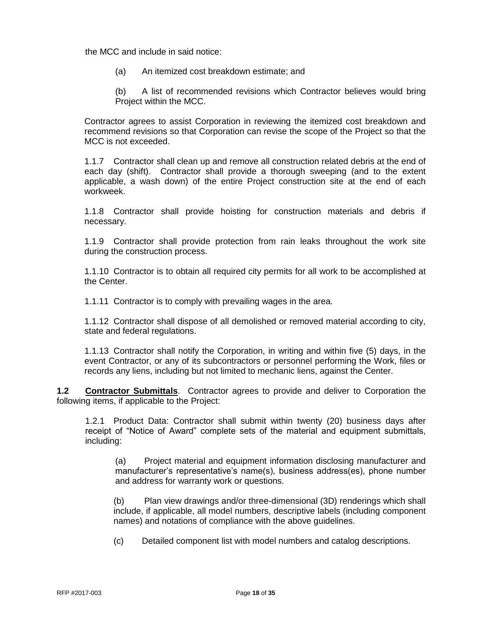the MCC and include in said notice:

(a) An itemized cost breakdown estimate; and

(b) A list of recommended revisions which Contractor believes would bring Project within the MCC.

Contractor agrees to assist Corporation in reviewing the itemized cost breakdown and recommend revisions so that Corporation can revise the scope of the Project so that the MCC is not exceeded.

1.1.7 Contractor shall clean up and remove all construction related debris at the end of each day (shift). Contractor shall provide a thorough sweeping (and to the extent applicable, a wash down) of the entire Project construction site at the end of each workweek.

1.1.8 Contractor shall provide hoisting for construction materials and debris if necessary.

1.1.9 Contractor shall provide protection from rain leaks throughout the work site during the construction process.

1.1.10 Contractor is to obtain all required city permits for all work to be accomplished at the Center.

1.1.11 Contractor is to comply with prevailing wages in the area.

1.1.12 Contractor shall dispose of all demolished or removed material according to city, state and federal regulations.

1.1.13 Contractor shall notify the Corporation, in writing and within five (5) days, in the event Contractor, or any of its subcontractors or personnel performing the Work, files or records any liens, including but not limited to mechanic liens, against the Center.

**1.2 Contractor Submittals**. Contractor agrees to provide and deliver to Corporation the following items, if applicable to the Project:

1.2.1 Product Data: Contractor shall submit within twenty (20) business days after receipt of "Notice of Award" complete sets of the material and equipment submittals, including:

(a) Project material and equipment information disclosing manufacturer and manufacturer's representative's name(s), business address(es), phone number and address for warranty work or questions.

(b) Plan view drawings and/or three-dimensional (3D) renderings which shall include, if applicable, all model numbers, descriptive labels (including component names) and notations of compliance with the above guidelines.

(c) Detailed component list with model numbers and catalog descriptions.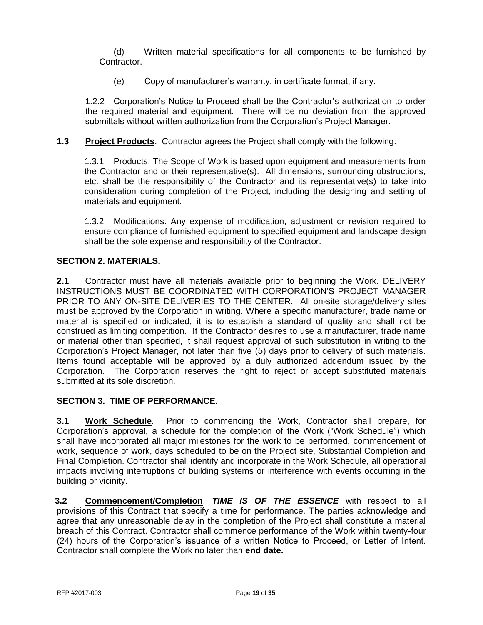(d) Written material specifications for all components to be furnished by Contractor.

(e) Copy of manufacturer's warranty, in certificate format, if any.

1.2.2 Corporation's Notice to Proceed shall be the Contractor's authorization to order the required material and equipment. There will be no deviation from the approved submittals without written authorization from the Corporation's Project Manager.

**1.3 Project Products**. Contractor agrees the Project shall comply with the following:

1.3.1 Products: The Scope of Work is based upon equipment and measurements from the Contractor and or their representative(s). All dimensions, surrounding obstructions, etc. shall be the responsibility of the Contractor and its representative(s) to take into consideration during completion of the Project, including the designing and setting of materials and equipment.

1.3.2 Modifications: Any expense of modification, adjustment or revision required to ensure compliance of furnished equipment to specified equipment and landscape design shall be the sole expense and responsibility of the Contractor.

# **SECTION 2. MATERIALS.**

**2.1** Contractor must have all materials available prior to beginning the Work. DELIVERY INSTRUCTIONS MUST BE COORDINATED WITH CORPORATION'S PROJECT MANAGER PRIOR TO ANY ON-SITE DELIVERIES TO THE CENTER. All on-site storage/delivery sites must be approved by the Corporation in writing. Where a specific manufacturer, trade name or material is specified or indicated, it is to establish a standard of quality and shall not be construed as limiting competition. If the Contractor desires to use a manufacturer, trade name or material other than specified, it shall request approval of such substitution in writing to the Corporation's Project Manager, not later than five (5) days prior to delivery of such materials. Items found acceptable will be approved by a duly authorized addendum issued by the Corporation. The Corporation reserves the right to reject or accept substituted materials submitted at its sole discretion.

# **SECTION 3. TIME OF PERFORMANCE.**

**3.1 Work Schedule**. Prior to commencing the Work, Contractor shall prepare, for Corporation's approval, a schedule for the completion of the Work ("Work Schedule") which shall have incorporated all major milestones for the work to be performed, commencement of work, sequence of work, days scheduled to be on the Project site, Substantial Completion and Final Completion. Contractor shall identify and incorporate in the Work Schedule, all operational impacts involving interruptions of building systems or interference with events occurring in the building or vicinity.

**3.2 Commencement/Completion**. *TIME IS OF THE ESSENCE* with respect to all provisions of this Contract that specify a time for performance. The parties acknowledge and agree that any unreasonable delay in the completion of the Project shall constitute a material breach of this Contract. Contractor shall commence performance of the Work within twenty-four (24) hours of the Corporation's issuance of a written Notice to Proceed, or Letter of Intent. Contractor shall complete the Work no later than **end date.**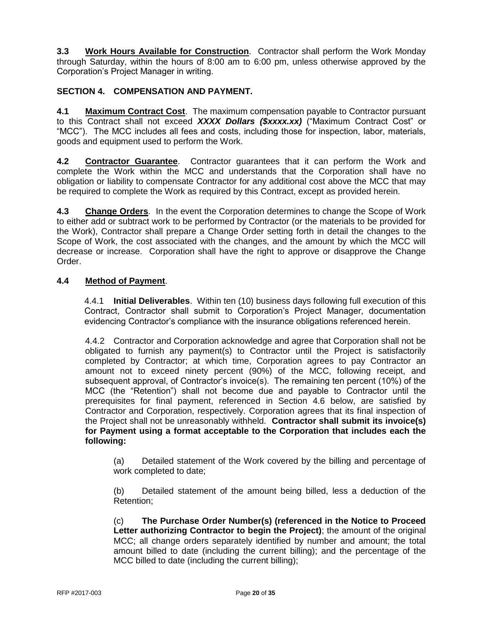**3.3 Work Hours Available for Construction**. Contractor shall perform the Work Monday through Saturday, within the hours of 8:00 am to 6:00 pm, unless otherwise approved by the Corporation's Project Manager in writing.

# **SECTION 4. COMPENSATION AND PAYMENT.**

**4.1 Maximum Contract Cost**. The maximum compensation payable to Contractor pursuant to this Contract shall not exceed *XXXX Dollars (\$xxxx.xx)* ("Maximum Contract Cost" or "MCC"). The MCC includes all fees and costs, including those for inspection, labor, materials, goods and equipment used to perform the Work.

**4.2 Contractor Guarantee**. Contractor guarantees that it can perform the Work and complete the Work within the MCC and understands that the Corporation shall have no obligation or liability to compensate Contractor for any additional cost above the MCC that may be required to complete the Work as required by this Contract, except as provided herein.

**4.3 Change Orders**. In the event the Corporation determines to change the Scope of Work to either add or subtract work to be performed by Contractor (or the materials to be provided for the Work), Contractor shall prepare a Change Order setting forth in detail the changes to the Scope of Work, the cost associated with the changes, and the amount by which the MCC will decrease or increase. Corporation shall have the right to approve or disapprove the Change Order.

# **4.4 Method of Payment**.

4.4.1 **Initial Deliverables**. Within ten (10) business days following full execution of this Contract, Contractor shall submit to Corporation's Project Manager, documentation evidencing Contractor's compliance with the insurance obligations referenced herein.

4.4.2 Contractor and Corporation acknowledge and agree that Corporation shall not be obligated to furnish any payment(s) to Contractor until the Project is satisfactorily completed by Contractor; at which time, Corporation agrees to pay Contractor an amount not to exceed ninety percent (90%) of the MCC, following receipt, and subsequent approval, of Contractor's invoice(s). The remaining ten percent (10%) of the MCC (the "Retention") shall not become due and payable to Contractor until the prerequisites for final payment, referenced in Section 4.6 below, are satisfied by Contractor and Corporation, respectively. Corporation agrees that its final inspection of the Project shall not be unreasonably withheld. **Contractor shall submit its invoice(s) for Payment using a format acceptable to the Corporation that includes each the following:**

(a) Detailed statement of the Work covered by the billing and percentage of work completed to date;

(b) Detailed statement of the amount being billed, less a deduction of the Retention;

(c) **The Purchase Order Number(s) (referenced in the Notice to Proceed Letter authorizing Contractor to begin the Project)**; the amount of the original MCC; all change orders separately identified by number and amount; the total amount billed to date (including the current billing); and the percentage of the MCC billed to date (including the current billing);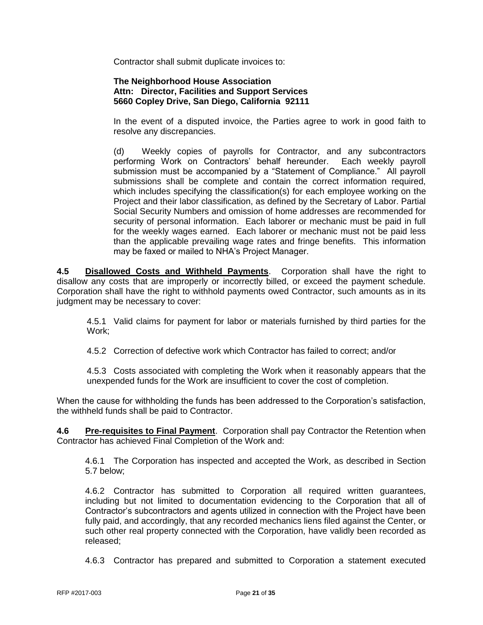Contractor shall submit duplicate invoices to:

### **The Neighborhood House Association Attn: Director, Facilities and Support Services 5660 Copley Drive, San Diego, California 92111**

In the event of a disputed invoice, the Parties agree to work in good faith to resolve any discrepancies.

(d) Weekly copies of payrolls for Contractor, and any subcontractors performing Work on Contractors' behalf hereunder. Each weekly payroll submission must be accompanied by a "Statement of Compliance." All payroll submissions shall be complete and contain the correct information required, which includes specifying the classification(s) for each employee working on the Project and their labor classification, as defined by the Secretary of Labor. Partial Social Security Numbers and omission of home addresses are recommended for security of personal information. Each laborer or mechanic must be paid in full for the weekly wages earned. Each laborer or mechanic must not be paid less than the applicable prevailing wage rates and fringe benefits. This information may be faxed or mailed to NHA's Project Manager.

**4.5 Disallowed Costs and Withheld Payments**. Corporation shall have the right to disallow any costs that are improperly or incorrectly billed, or exceed the payment schedule. Corporation shall have the right to withhold payments owed Contractor, such amounts as in its judgment may be necessary to cover:

4.5.1 Valid claims for payment for labor or materials furnished by third parties for the Work;

4.5.2 Correction of defective work which Contractor has failed to correct; and/or

4.5.3 Costs associated with completing the Work when it reasonably appears that the unexpended funds for the Work are insufficient to cover the cost of completion.

When the cause for withholding the funds has been addressed to the Corporation's satisfaction, the withheld funds shall be paid to Contractor.

**4.6 Pre-requisites to Final Payment**. Corporation shall pay Contractor the Retention when Contractor has achieved Final Completion of the Work and:

4.6.1 The Corporation has inspected and accepted the Work, as described in Section 5.7 below;

4.6.2 Contractor has submitted to Corporation all required written guarantees, including but not limited to documentation evidencing to the Corporation that all of Contractor's subcontractors and agents utilized in connection with the Project have been fully paid, and accordingly, that any recorded mechanics liens filed against the Center, or such other real property connected with the Corporation, have validly been recorded as released;

4.6.3 Contractor has prepared and submitted to Corporation a statement executed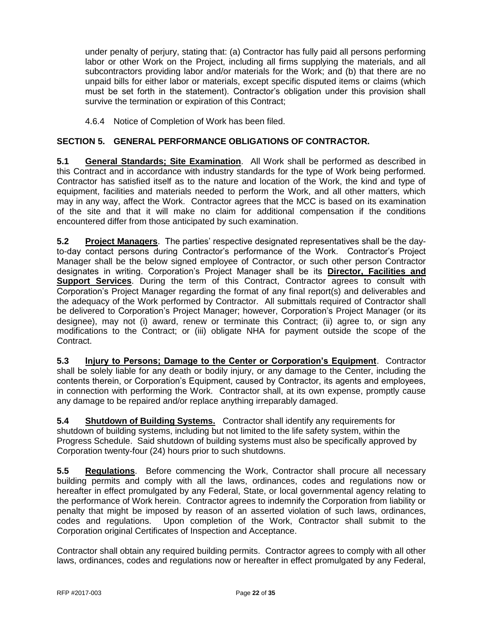under penalty of perjury, stating that: (a) Contractor has fully paid all persons performing labor or other Work on the Project, including all firms supplying the materials, and all subcontractors providing labor and/or materials for the Work; and (b) that there are no unpaid bills for either labor or materials, except specific disputed items or claims (which must be set forth in the statement). Contractor's obligation under this provision shall survive the termination or expiration of this Contract;

4.6.4 Notice of Completion of Work has been filed.

# **SECTION 5. GENERAL PERFORMANCE OBLIGATIONS OF CONTRACTOR.**

**5.1 General Standards; Site Examination**. All Work shall be performed as described in this Contract and in accordance with industry standards for the type of Work being performed. Contractor has satisfied itself as to the nature and location of the Work, the kind and type of equipment, facilities and materials needed to perform the Work, and all other matters, which may in any way, affect the Work. Contractor agrees that the MCC is based on its examination of the site and that it will make no claim for additional compensation if the conditions encountered differ from those anticipated by such examination.

**5.2 Project Managers**. The parties' respective designated representatives shall be the dayto-day contact persons during Contractor's performance of the Work. Contractor's Project Manager shall be the below signed employee of Contractor, or such other person Contractor designates in writing. Corporation's Project Manager shall be its **Director, Facilities and Support Services**. During the term of this Contract, Contractor agrees to consult with Corporation's Project Manager regarding the format of any final report(s) and deliverables and the adequacy of the Work performed by Contractor. All submittals required of Contractor shall be delivered to Corporation's Project Manager; however, Corporation's Project Manager (or its designee), may not (i) award, renew or terminate this Contract; (ii) agree to, or sign any modifications to the Contract; or (iii) obligate NHA for payment outside the scope of the Contract.

**5.3 Injury to Persons; Damage to the Center or Corporation's Equipment**. Contractor shall be solely liable for any death or bodily injury, or any damage to the Center, including the contents therein, or Corporation's Equipment, caused by Contractor, its agents and employees, in connection with performing the Work. Contractor shall, at its own expense, promptly cause any damage to be repaired and/or replace anything irreparably damaged.

**5.4 Shutdown of Building Systems.** Contractor shall identify any requirements for shutdown of building systems, including but not limited to the life safety system, within the Progress Schedule. Said shutdown of building systems must also be specifically approved by Corporation twenty-four (24) hours prior to such shutdowns.

**5.5 Regulations**. Before commencing the Work, Contractor shall procure all necessary building permits and comply with all the laws, ordinances, codes and regulations now or hereafter in effect promulgated by any Federal, State, or local governmental agency relating to the performance of Work herein. Contractor agrees to indemnify the Corporation from liability or penalty that might be imposed by reason of an asserted violation of such laws, ordinances, codes and regulations. Upon completion of the Work, Contractor shall submit to the Corporation original Certificates of Inspection and Acceptance.

Contractor shall obtain any required building permits. Contractor agrees to comply with all other laws, ordinances, codes and regulations now or hereafter in effect promulgated by any Federal,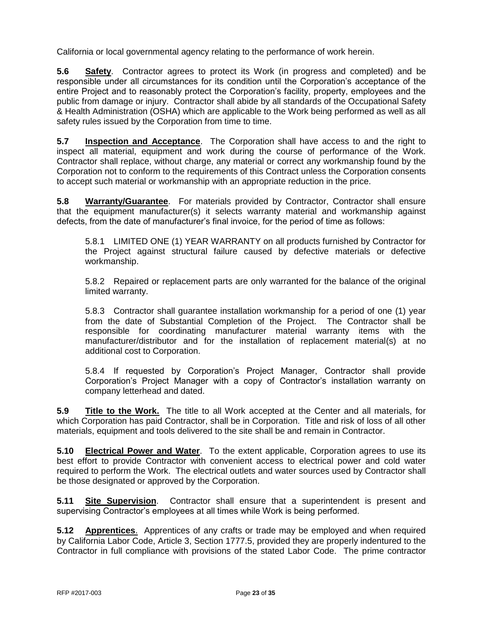California or local governmental agency relating to the performance of work herein.

**5.6 Safety**. Contractor agrees to protect its Work (in progress and completed) and be responsible under all circumstances for its condition until the Corporation's acceptance of the entire Project and to reasonably protect the Corporation's facility, property, employees and the public from damage or injury. Contractor shall abide by all standards of the Occupational Safety & Health Administration (OSHA) which are applicable to the Work being performed as well as all safety rules issued by the Corporation from time to time.

**5.7 Inspection and Acceptance**. The Corporation shall have access to and the right to inspect all material, equipment and work during the course of performance of the Work. Contractor shall replace, without charge, any material or correct any workmanship found by the Corporation not to conform to the requirements of this Contract unless the Corporation consents to accept such material or workmanship with an appropriate reduction in the price.

**5.8 Warranty/Guarantee**. For materials provided by Contractor, Contractor shall ensure that the equipment manufacturer(s) it selects warranty material and workmanship against defects, from the date of manufacturer's final invoice, for the period of time as follows:

5.8.1 LIMITED ONE (1) YEAR WARRANTY on all products furnished by Contractor for the Project against structural failure caused by defective materials or defective workmanship.

5.8.2 Repaired or replacement parts are only warranted for the balance of the original limited warranty.

5.8.3 Contractor shall guarantee installation workmanship for a period of one (1) year from the date of Substantial Completion of the Project. The Contractor shall be responsible for coordinating manufacturer material warranty items with the manufacturer/distributor and for the installation of replacement material(s) at no additional cost to Corporation.

5.8.4 If requested by Corporation's Project Manager, Contractor shall provide Corporation's Project Manager with a copy of Contractor's installation warranty on company letterhead and dated.

**5.9 Title to the Work.** The title to all Work accepted at the Center and all materials, for which Corporation has paid Contractor, shall be in Corporation. Title and risk of loss of all other materials, equipment and tools delivered to the site shall be and remain in Contractor.

**5.10 Electrical Power and Water**. To the extent applicable, Corporation agrees to use its best effort to provide Contractor with convenient access to electrical power and cold water required to perform the Work. The electrical outlets and water sources used by Contractor shall be those designated or approved by the Corporation.

**5.11 Site Supervision**. Contractor shall ensure that a superintendent is present and supervising Contractor's employees at all times while Work is being performed.

**5.12 Apprentices**. Apprentices of any crafts or trade may be employed and when required by California Labor Code, Article 3, Section 1777.5, provided they are properly indentured to the Contractor in full compliance with provisions of the stated Labor Code. The prime contractor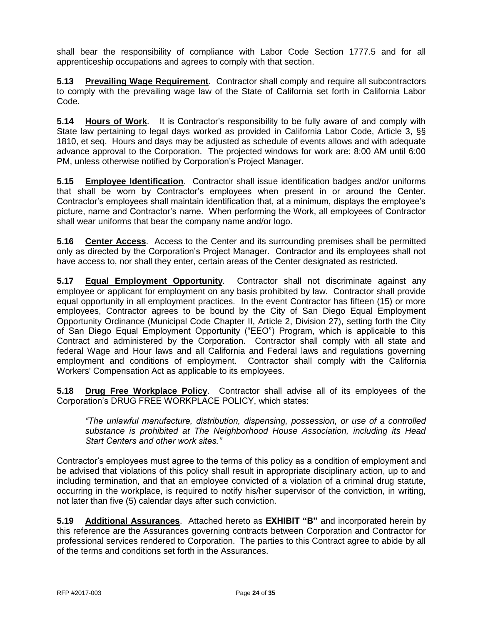shall bear the responsibility of compliance with Labor Code Section 1777.5 and for all apprenticeship occupations and agrees to comply with that section.

**5.13 Prevailing Wage Requirement**. Contractor shall comply and require all subcontractors to comply with the prevailing wage law of the State of California set forth in California Labor Code.

**5.14 Hours of Work**. It is Contractor's responsibility to be fully aware of and comply with State law pertaining to legal days worked as provided in California Labor Code, Article 3, §§ 1810, et seq. Hours and days may be adjusted as schedule of events allows and with adequate advance approval to the Corporation. The projected windows for work are: 8:00 AM until 6:00 PM, unless otherwise notified by Corporation's Project Manager.

**5.15 Employee Identification**. Contractor shall issue identification badges and/or uniforms that shall be worn by Contractor's employees when present in or around the Center. Contractor's employees shall maintain identification that, at a minimum, displays the employee's picture, name and Contractor's name. When performing the Work, all employees of Contractor shall wear uniforms that bear the company name and/or logo.

**5.16 Center Access**. Access to the Center and its surrounding premises shall be permitted only as directed by the Corporation's Project Manager. Contractor and its employees shall not have access to, nor shall they enter, certain areas of the Center designated as restricted.

**5.17 Equal Employment Opportunity**. Contractor shall not discriminate against any employee or applicant for employment on any basis prohibited by law. Contractor shall provide equal opportunity in all employment practices. In the event Contractor has fifteen (15) or more employees, Contractor agrees to be bound by the City of San Diego Equal Employment Opportunity Ordinance (Municipal Code Chapter II, Article 2, Division 27), setting forth the City of San Diego Equal Employment Opportunity ("EEO") Program, which is applicable to this Contract and administered by the Corporation. Contractor shall comply with all state and federal Wage and Hour laws and all California and Federal laws and regulations governing employment and conditions of employment. Contractor shall comply with the California Workers' Compensation Act as applicable to its employees.

**5.18 Drug Free Workplace Policy**. Contractor shall advise all of its employees of the Corporation's DRUG FREE WORKPLACE POLICY, which states:

*"The unlawful manufacture, distribution, dispensing, possession, or use of a controlled substance is prohibited at The Neighborhood House Association, including its Head Start Centers and other work sites."*

Contractor's employees must agree to the terms of this policy as a condition of employment and be advised that violations of this policy shall result in appropriate disciplinary action, up to and including termination, and that an employee convicted of a violation of a criminal drug statute, occurring in the workplace, is required to notify his/her supervisor of the conviction, in writing, not later than five (5) calendar days after such conviction.

**5.19 Additional Assurances**.Attached hereto as **EXHIBIT "B"** and incorporated herein by this reference are the Assurances governing contracts between Corporation and Contractor for professional services rendered to Corporation. The parties to this Contract agree to abide by all of the terms and conditions set forth in the Assurances.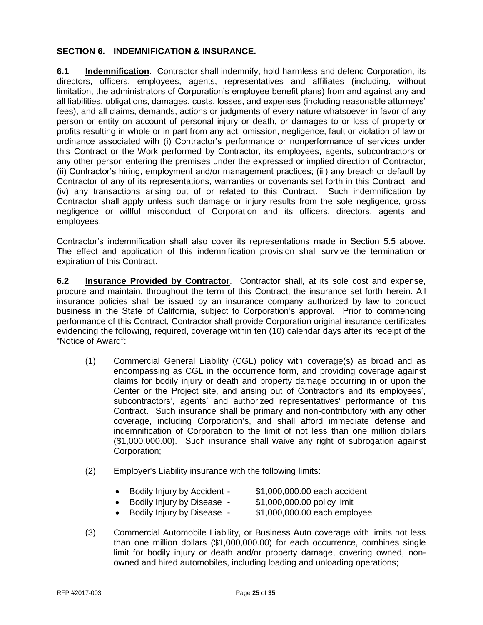#### **SECTION 6. INDEMNIFICATION & INSURANCE.**

**6.1 Indemnification**. Contractor shall indemnify, hold harmless and defend Corporation, its directors, officers, employees, agents, representatives and affiliates (including, without limitation, the administrators of Corporation's employee benefit plans) from and against any and all liabilities, obligations, damages, costs, losses, and expenses (including reasonable attorneys' fees), and all claims, demands, actions or judgments of every nature whatsoever in favor of any person or entity on account of personal injury or death, or damages to or loss of property or profits resulting in whole or in part from any act, omission, negligence, fault or violation of law or ordinance associated with (i) Contractor's performance or nonperformance of services under this Contract or the Work performed by Contractor, its employees, agents, subcontractors or any other person entering the premises under the expressed or implied direction of Contractor; (ii) Contractor's hiring, employment and/or management practices; (iii) any breach or default by Contractor of any of its representations, warranties or covenants set forth in this Contract and (iv) any transactions arising out of or related to this Contract. Such indemnification by Contractor shall apply unless such damage or injury results from the sole negligence, gross negligence or willful misconduct of Corporation and its officers, directors, agents and employees.

Contractor's indemnification shall also cover its representations made in Section 5.5 above. The effect and application of this indemnification provision shall survive the termination or expiration of this Contract.

**6.2 Insurance Provided by Contractor**. Contractor shall, at its sole cost and expense, procure and maintain, throughout the term of this Contract, the insurance set forth herein. All insurance policies shall be issued by an insurance company authorized by law to conduct business in the State of California, subject to Corporation's approval. Prior to commencing performance of this Contract, Contractor shall provide Corporation original insurance certificates evidencing the following, required, coverage within ten (10) calendar days after its receipt of the "Notice of Award":

- (1) Commercial General Liability (CGL) policy with coverage(s) as broad and as encompassing as CGL in the occurrence form, and providing coverage against claims for bodily injury or death and property damage occurring in or upon the Center or the Project site, and arising out of Contractor's and its employees', subcontractors', agents' and authorized representatives' performance of this Contract. Such insurance shall be primary and non-contributory with any other coverage, including Corporation's, and shall afford immediate defense and indemnification of Corporation to the limit of not less than one million dollars (\$1,000,000.00). Such insurance shall waive any right of subrogation against Corporation;
- (2) Employer's Liability insurance with the following limits:
	- Bodily Injury by Accident \$1,000,000.00 each accident
		-
	- Bodily Injury by Disease \$1,000,000.00 policy limit
	- Bodily Injury by Disease \$1,000,000.00 each employee
- (3) Commercial Automobile Liability, or Business Auto coverage with limits not less than one million dollars (\$1,000,000.00) for each occurrence, combines single limit for bodily injury or death and/or property damage, covering owned, nonowned and hired automobiles, including loading and unloading operations;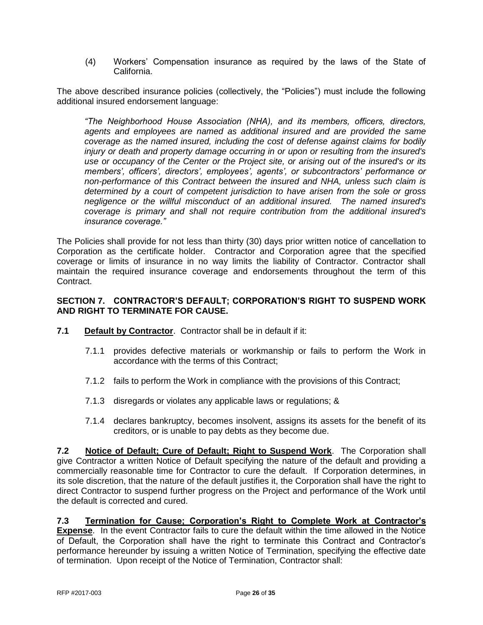(4) Workers' Compensation insurance as required by the laws of the State of California.

The above described insurance policies (collectively, the "Policies") must include the following additional insured endorsement language:

*"The Neighborhood House Association (NHA), and its members, officers, directors, agents and employees are named as additional insured and are provided the same coverage as the named insured, including the cost of defense against claims for bodily injury or death and property damage occurring in or upon or resulting from the insured's use or occupancy of the Center or the Project site, or arising out of the insured's or its members', officers', directors', employees', agents', or subcontractors' performance or non-performance of this Contract between the insured and NHA, unless such claim is determined by a court of competent jurisdiction to have arisen from the sole or gross negligence or the willful misconduct of an additional insured. The named insured's coverage is primary and shall not require contribution from the additional insured's insurance coverage."*

The Policies shall provide for not less than thirty (30) days prior written notice of cancellation to Corporation as the certificate holder. Contractor and Corporation agree that the specified coverage or limits of insurance in no way limits the liability of Contractor. Contractor shall maintain the required insurance coverage and endorsements throughout the term of this Contract.

### **SECTION 7. CONTRACTOR'S DEFAULT; CORPORATION'S RIGHT TO SUSPEND WORK AND RIGHT TO TERMINATE FOR CAUSE.**

- **7.1 Default by Contractor**. Contractor shall be in default if it:
	- 7.1.1 provides defective materials or workmanship or fails to perform the Work in accordance with the terms of this Contract;
	- 7.1.2 fails to perform the Work in compliance with the provisions of this Contract;
	- 7.1.3 disregards or violates any applicable laws or regulations; &
	- 7.1.4 declares bankruptcy, becomes insolvent, assigns its assets for the benefit of its creditors, or is unable to pay debts as they become due.

**7.2 Notice of Default; Cure of Default; Right to Suspend Work**. The Corporation shall give Contractor a written Notice of Default specifying the nature of the default and providing a commercially reasonable time for Contractor to cure the default. If Corporation determines, in its sole discretion, that the nature of the default justifies it, the Corporation shall have the right to direct Contractor to suspend further progress on the Project and performance of the Work until the default is corrected and cured.

#### **7.3 Termination for Cause; Corporation's Right to Complete Work at Contractor's Expense**. In the event Contractor fails to cure the default within the time allowed in the Notice of Default, the Corporation shall have the right to terminate this Contract and Contractor's performance hereunder by issuing a written Notice of Termination, specifying the effective date of termination. Upon receipt of the Notice of Termination, Contractor shall: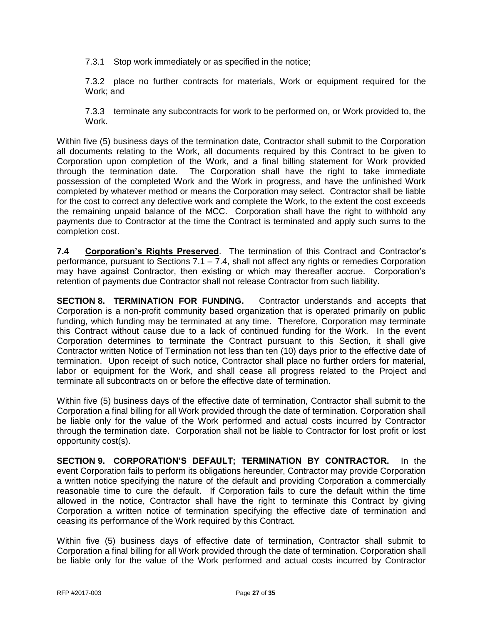7.3.1 Stop work immediately or as specified in the notice;

7.3.2 place no further contracts for materials, Work or equipment required for the Work; and

7.3.3 terminate any subcontracts for work to be performed on, or Work provided to, the Work.

Within five (5) business days of the termination date, Contractor shall submit to the Corporation all documents relating to the Work, all documents required by this Contract to be given to Corporation upon completion of the Work, and a final billing statement for Work provided through the termination date. The Corporation shall have the right to take immediate possession of the completed Work and the Work in progress, and have the unfinished Work completed by whatever method or means the Corporation may select. Contractor shall be liable for the cost to correct any defective work and complete the Work, to the extent the cost exceeds the remaining unpaid balance of the MCC. Corporation shall have the right to withhold any payments due to Contractor at the time the Contract is terminated and apply such sums to the completion cost.

**7.4 Corporation's Rights Preserved**. The termination of this Contract and Contractor's performance, pursuant to Sections 7.1 – 7.4, shall not affect any rights or remedies Corporation may have against Contractor, then existing or which may thereafter accrue. Corporation's retention of payments due Contractor shall not release Contractor from such liability.

**SECTION 8. TERMINATION FOR FUNDING.** Contractor understands and accepts that Corporation is a non-profit community based organization that is operated primarily on public funding, which funding may be terminated at any time. Therefore, Corporation may terminate this Contract without cause due to a lack of continued funding for the Work. In the event Corporation determines to terminate the Contract pursuant to this Section, it shall give Contractor written Notice of Termination not less than ten (10) days prior to the effective date of termination. Upon receipt of such notice, Contractor shall place no further orders for material, labor or equipment for the Work, and shall cease all progress related to the Project and terminate all subcontracts on or before the effective date of termination.

Within five (5) business days of the effective date of termination, Contractor shall submit to the Corporation a final billing for all Work provided through the date of termination. Corporation shall be liable only for the value of the Work performed and actual costs incurred by Contractor through the termination date. Corporation shall not be liable to Contractor for lost profit or lost opportunity cost(s).

**SECTION 9. CORPORATION'S DEFAULT; TERMINATION BY CONTRACTOR.** In the event Corporation fails to perform its obligations hereunder, Contractor may provide Corporation a written notice specifying the nature of the default and providing Corporation a commercially reasonable time to cure the default. If Corporation fails to cure the default within the time allowed in the notice, Contractor shall have the right to terminate this Contract by giving Corporation a written notice of termination specifying the effective date of termination and ceasing its performance of the Work required by this Contract.

Within five (5) business days of effective date of termination, Contractor shall submit to Corporation a final billing for all Work provided through the date of termination. Corporation shall be liable only for the value of the Work performed and actual costs incurred by Contractor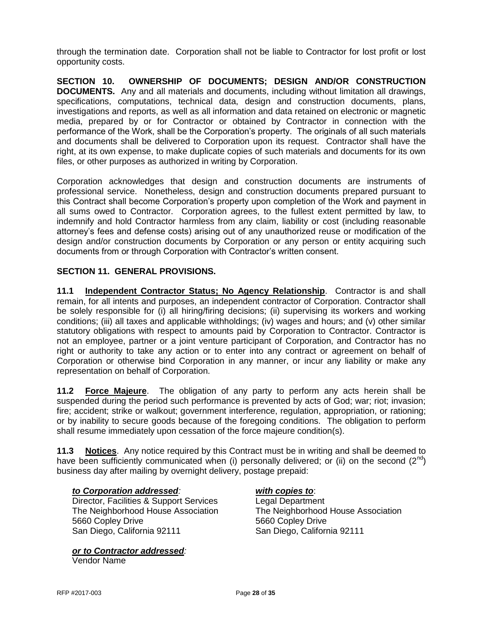through the termination date. Corporation shall not be liable to Contractor for lost profit or lost opportunity costs.

**SECTION 10. OWNERSHIP OF DOCUMENTS; DESIGN AND/OR CONSTRUCTION DOCUMENTS.** Any and all materials and documents, including without limitation all drawings, specifications, computations, technical data, design and construction documents, plans, investigations and reports, as well as all information and data retained on electronic or magnetic media, prepared by or for Contractor or obtained by Contractor in connection with the performance of the Work, shall be the Corporation's property. The originals of all such materials and documents shall be delivered to Corporation upon its request. Contractor shall have the right, at its own expense, to make duplicate copies of such materials and documents for its own files, or other purposes as authorized in writing by Corporation.

Corporation acknowledges that design and construction documents are instruments of professional service. Nonetheless, design and construction documents prepared pursuant to this Contract shall become Corporation's property upon completion of the Work and payment in all sums owed to Contractor. Corporation agrees, to the fullest extent permitted by law, to indemnify and hold Contractor harmless from any claim, liability or cost (including reasonable attorney's fees and defense costs) arising out of any unauthorized reuse or modification of the design and/or construction documents by Corporation or any person or entity acquiring such documents from or through Corporation with Contractor's written consent.

# **SECTION 11. GENERAL PROVISIONS.**

**11.1 Independent Contractor Status; No Agency Relationship**. Contractor is and shall remain, for all intents and purposes, an independent contractor of Corporation. Contractor shall be solely responsible for (i) all hiring/firing decisions; (ii) supervising its workers and working conditions; (iii) all taxes and applicable withholdings; (iv) wages and hours; and (v) other similar statutory obligations with respect to amounts paid by Corporation to Contractor. Contractor is not an employee, partner or a joint venture participant of Corporation, and Contractor has no right or authority to take any action or to enter into any contract or agreement on behalf of Corporation or otherwise bind Corporation in any manner, or incur any liability or make any representation on behalf of Corporation.

**11.2 Force Majeure**. The obligation of any party to perform any acts herein shall be suspended during the period such performance is prevented by acts of God; war; riot; invasion; fire; accident; strike or walkout; government interference, regulation, appropriation, or rationing; or by inability to secure goods because of the foregoing conditions. The obligation to perform shall resume immediately upon cessation of the force majeure condition(s).

**11.3 Notices**. Any notice required by this Contract must be in writing and shall be deemed to have been sufficiently communicated when (i) personally delivered; or (ii) on the second  $(2^{nd})$ business day after mailing by overnight delivery, postage prepaid:

#### *to Corporation addressed: with copies to*:

Director, Facilities & Support Services Legal Department The Neighborhood House Association The Neighborhood House Association 5660 Copley Drive 5660 Copley Drive San Diego, California 92111 San Diego, California 92111

*or to Contractor addressed:* Vendor Name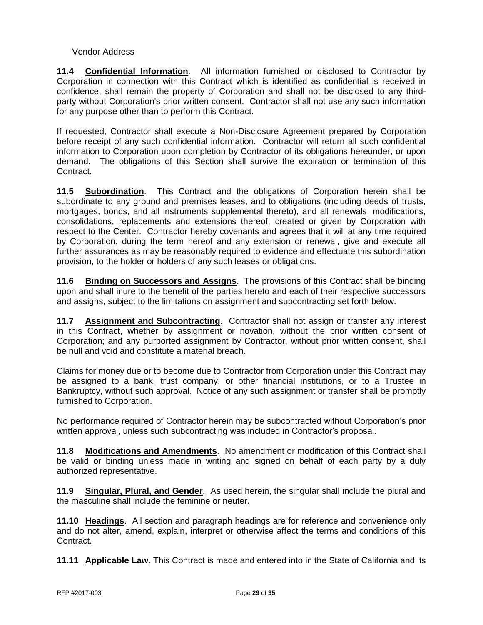### Vendor Address

**11.4 Confidential Information**.All information furnished or disclosed to Contractor by Corporation in connection with this Contract which is identified as confidential is received in confidence, shall remain the property of Corporation and shall not be disclosed to any thirdparty without Corporation's prior written consent. Contractor shall not use any such information for any purpose other than to perform this Contract.

If requested, Contractor shall execute a Non-Disclosure Agreement prepared by Corporation before receipt of any such confidential information. Contractor will return all such confidential information to Corporation upon completion by Contractor of its obligations hereunder, or upon demand. The obligations of this Section shall survive the expiration or termination of this Contract.

**11.5 Subordination**.This Contract and the obligations of Corporation herein shall be subordinate to any ground and premises leases, and to obligations (including deeds of trusts, mortgages, bonds, and all instruments supplemental thereto), and all renewals, modifications, consolidations, replacements and extensions thereof, created or given by Corporation with respect to the Center. Contractor hereby covenants and agrees that it will at any time required by Corporation, during the term hereof and any extension or renewal, give and execute all further assurances as may be reasonably required to evidence and effectuate this subordination provision, to the holder or holders of any such leases or obligations.

**11.6 Binding on Successors and Assigns**. The provisions of this Contract shall be binding upon and shall inure to the benefit of the parties hereto and each of their respective successors and assigns, subject to the limitations on assignment and subcontracting set forth below.

**11.7 Assignment and Subcontracting**. Contractor shall not assign or transfer any interest in this Contract, whether by assignment or novation, without the prior written consent of Corporation; and any purported assignment by Contractor, without prior written consent, shall be null and void and constitute a material breach.

Claims for money due or to become due to Contractor from Corporation under this Contract may be assigned to a bank, trust company, or other financial institutions, or to a Trustee in Bankruptcy, without such approval. Notice of any such assignment or transfer shall be promptly furnished to Corporation.

No performance required of Contractor herein may be subcontracted without Corporation's prior written approval, unless such subcontracting was included in Contractor's proposal.

**11.8 Modifications and Amendments**. No amendment or modification of this Contract shall be valid or binding unless made in writing and signed on behalf of each party by a duly authorized representative.

**11.9 Singular, Plural, and Gender**. As used herein, the singular shall include the plural and the masculine shall include the feminine or neuter.

**11.10 Headings**. All section and paragraph headings are for reference and convenience only and do not alter, amend, explain, interpret or otherwise affect the terms and conditions of this Contract.

**11.11 Applicable Law**. This Contract is made and entered into in the State of California and its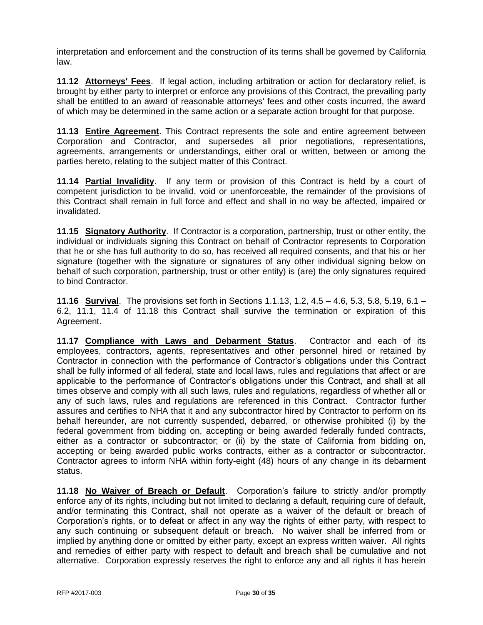interpretation and enforcement and the construction of its terms shall be governed by California law.

**11.12 Attorneys' Fees**. If legal action, including arbitration or action for declaratory relief, is brought by either party to interpret or enforce any provisions of this Contract, the prevailing party shall be entitled to an award of reasonable attorneys' fees and other costs incurred, the award of which may be determined in the same action or a separate action brought for that purpose.

**11.13 Entire Agreement**. This Contract represents the sole and entire agreement between Corporation and Contractor, and supersedes all prior negotiations, representations, agreements, arrangements or understandings, either oral or written, between or among the parties hereto, relating to the subject matter of this Contract.

**11.14 Partial Invalidity**. If any term or provision of this Contract is held by a court of competent jurisdiction to be invalid, void or unenforceable, the remainder of the provisions of this Contract shall remain in full force and effect and shall in no way be affected, impaired or invalidated.

**11.15 Signatory Authority**. If Contractor is a corporation, partnership, trust or other entity, the individual or individuals signing this Contract on behalf of Contractor represents to Corporation that he or she has full authority to do so, has received all required consents, and that his or her signature (together with the signature or signatures of any other individual signing below on behalf of such corporation, partnership, trust or other entity) is (are) the only signatures required to bind Contractor.

**11.16 Survival**. The provisions set forth in Sections 1.1.13, 1.2, 4.5 – 4.6, 5.3, 5.8, 5.19, 6.1 – 6.2, 11.1, 11.4 of 11.18 this Contract shall survive the termination or expiration of this Agreement.

**11.17 Compliance with Laws and Debarment Status**. Contractor and each of its employees, contractors, agents, representatives and other personnel hired or retained by Contractor in connection with the performance of Contractor's obligations under this Contract shall be fully informed of all federal, state and local laws, rules and regulations that affect or are applicable to the performance of Contractor's obligations under this Contract, and shall at all times observe and comply with all such laws, rules and regulations, regardless of whether all or any of such laws, rules and regulations are referenced in this Contract. Contractor further assures and certifies to NHA that it and any subcontractor hired by Contractor to perform on its behalf hereunder, are not currently suspended, debarred, or otherwise prohibited (i) by the federal government from bidding on, accepting or being awarded federally funded contracts, either as a contractor or subcontractor; or (ii) by the state of California from bidding on, accepting or being awarded public works contracts, either as a contractor or subcontractor. Contractor agrees to inform NHA within forty-eight (48) hours of any change in its debarment status.

**11.18 No Waiver of Breach or Default**. Corporation's failure to strictly and/or promptly enforce any of its rights, including but not limited to declaring a default, requiring cure of default, and/or terminating this Contract, shall not operate as a waiver of the default or breach of Corporation's rights, or to defeat or affect in any way the rights of either party, with respect to any such continuing or subsequent default or breach. No waiver shall be inferred from or implied by anything done or omitted by either party, except an express written waiver. All rights and remedies of either party with respect to default and breach shall be cumulative and not alternative. Corporation expressly reserves the right to enforce any and all rights it has herein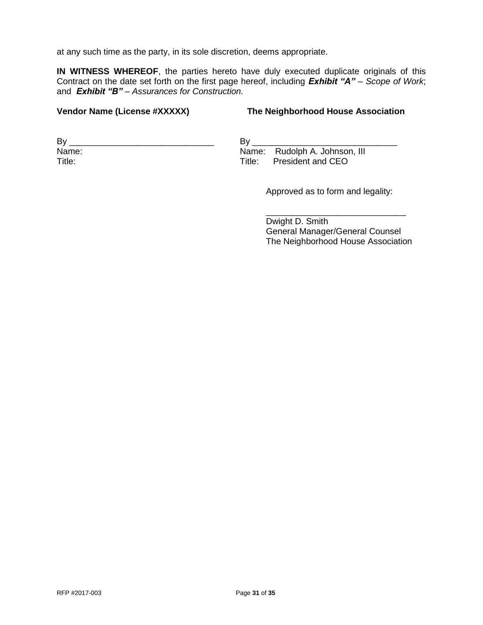at any such time as the party, in its sole discretion, deems appropriate.

**IN WITNESS WHEREOF**, the parties hereto have duly executed duplicate originals of this Contract on the date set forth on the first page hereof, including *Exhibit "A"* – *Scope of Work*; and *Exhibit "B" – Assurances for Construction.*

#### **Vendor Name (License #XXXXX) The Neighborhood House Association**

 $By \_\_$ Name: Title:

 $By \_\_$ Name: Rudolph A. Johnson, III Title: President and CEO

Approved as to form and legality:

\_\_\_\_\_\_\_\_\_\_\_\_\_\_\_\_\_\_\_\_\_\_\_\_\_\_\_\_\_ Dwight D. Smith General Manager/General Counsel The Neighborhood House Association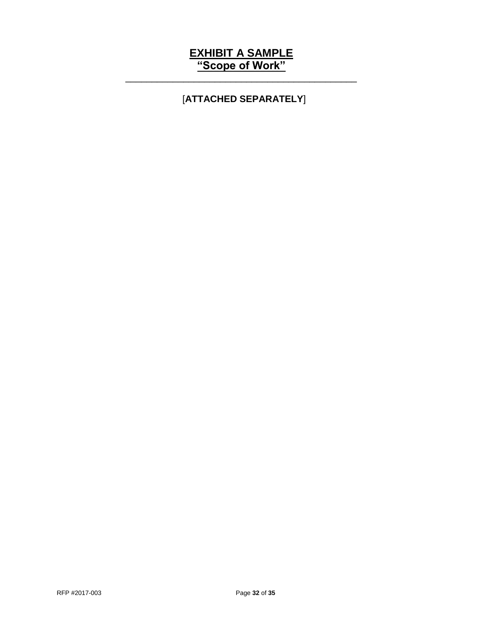# **EXHIBIT A SAMPLE "Scope of Work"**

\_\_\_\_\_\_\_\_\_\_\_\_\_\_\_\_\_\_\_\_\_\_\_\_\_\_\_\_\_\_\_\_\_\_\_\_\_\_\_\_\_\_\_\_

# [**ATTACHED SEPARATELY**]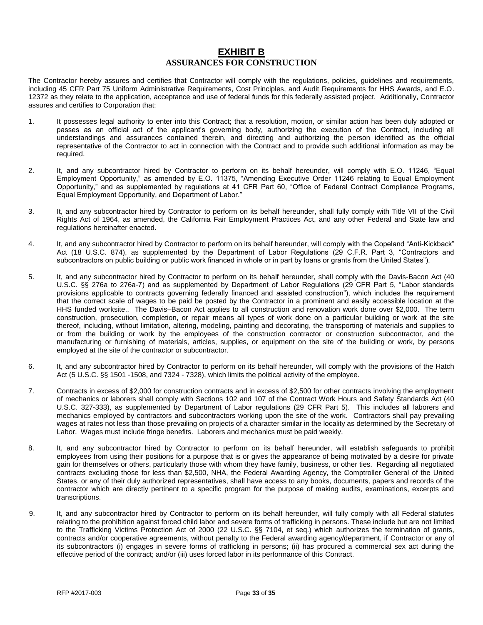# **EXHIBIT B ASSURANCES FOR CONSTRUCTION**

The Contractor hereby assures and certifies that Contractor will comply with the regulations, policies, guidelines and requirements, including 45 CFR Part 75 Uniform Administrative Requirements, Cost Principles, and Audit Requirements for HHS Awards, and E.O. 12372 as they relate to the application, acceptance and use of federal funds for this federally assisted project. Additionally, Contractor assures and certifies to Corporation that:

- 1. It possesses legal authority to enter into this Contract; that a resolution, motion, or similar action has been duly adopted or passes as an official act of the applicant's governing body, authorizing the execution of the Contract, including all understandings and assurances contained therein, and directing and authorizing the person identified as the official representative of the Contractor to act in connection with the Contract and to provide such additional information as may be required.
- 2. It, and any subcontractor hired by Contractor to perform on its behalf hereunder, will comply with E.O. 11246, "Equal Employment Opportunity," as amended by E.O. 11375, "Amending Executive Order 11246 relating to Equal Employment Opportunity," and as supplemented by regulations at 41 CFR Part 60, "Office of Federal Contract Compliance Programs, Equal Employment Opportunity, and Department of Labor."
- 3. It, and any subcontractor hired by Contractor to perform on its behalf hereunder, shall fully comply with Title VII of the Civil Rights Act of 1964, as amended, the California Fair Employment Practices Act, and any other Federal and State law and regulations hereinafter enacted.
- 4. It, and any subcontractor hired by Contractor to perform on its behalf hereunder, will comply with the Copeland "Anti-Kickback" Act (18 U.S.C. 874), as supplemented by the Department of Labor Regulations (29 C.F.R. Part 3, "Contractors and subcontractors on public building or public work financed in whole or in part by loans or grants from the United States").
- 5. It, and any subcontractor hired by Contractor to perform on its behalf hereunder, shall comply with the Davis-Bacon Act (40 U.S.C. §§ 276a to 276a-7) and as supplemented by Department of Labor Regulations (29 CFR Part 5, "Labor standards provisions applicable to contracts governing federally financed and assisted construction"), which includes the requirement that the correct scale of wages to be paid be posted by the Contractor in a prominent and easily accessible location at the HHS funded worksite.. The Davis–Bacon Act applies to all construction and renovation work done over \$2,000. The term construction, prosecution, completion, or repair means all types of work done on a particular building or work at the site thereof, including, without limitation, altering, modeling, painting and decorating, the transporting of materials and supplies to or from the building or work by the employees of the construction contractor or construction subcontractor, and the manufacturing or furnishing of materials, articles, supplies, or equipment on the site of the building or work, by persons employed at the site of the contractor or subcontractor.
- 6. It, and any subcontractor hired by Contractor to perform on its behalf hereunder, will comply with the provisions of the Hatch Act (5 U.S.C. §§ 1501 -1508, and 7324 - 7328), which limits the political activity of the employee.
- 7. Contracts in excess of \$2,000 for construction contracts and in excess of \$2,500 for other contracts involving the employment of mechanics or laborers shall comply with Sections 102 and 107 of the Contract Work Hours and Safety Standards Act (40 U.S.C. 327-333), as supplemented by Department of Labor regulations (29 CFR Part 5). This includes all laborers and mechanics employed by contractors and subcontractors working upon the site of the work. Contractors shall pay prevailing wages at rates not less than those prevailing on projects of a character similar in the locality as determined by the Secretary of Labor. Wages must include fringe benefits. Laborers and mechanics must be paid weekly.
- 8. It, and any subcontractor hired by Contractor to perform on its behalf hereunder, will establish safeguards to prohibit employees from using their positions for a purpose that is or gives the appearance of being motivated by a desire for private gain for themselves or others, particularly those with whom they have family, business, or other ties. Regarding all negotiated contracts excluding those for less than \$2,500, NHA, the Federal Awarding Agency, the Comptroller General of the United States, or any of their duly authorized representatives, shall have access to any books, documents, papers and records of the contractor which are directly pertinent to a specific program for the purpose of making audits, examinations, excerpts and transcriptions.
- 9. It, and any subcontractor hired by Contractor to perform on its behalf hereunder, will fully comply with all Federal statutes relating to the prohibition against forced child labor and severe forms of trafficking in persons. These include but are not limited to the Trafficking Victims Protection Act of 2000 (22 U.S.C. §§ 7104, et seq.) which authorizes the termination of grants, contracts and/or cooperative agreements, without penalty to the Federal awarding agency/department, if Contractor or any of its subcontractors (i) engages in severe forms of trafficking in persons; (ii) has procured a commercial sex act during the effective period of the contract; and/or (iii) uses forced labor in its performance of this Contract.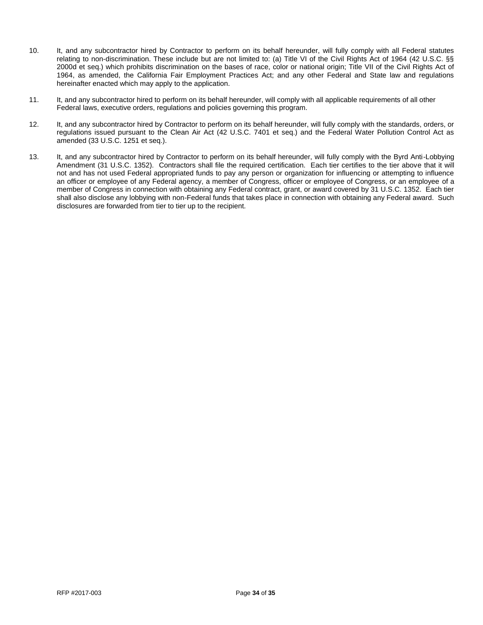- 10. It, and any subcontractor hired by Contractor to perform on its behalf hereunder, will fully comply with all Federal statutes relating to non-discrimination. These include but are not limited to: (a) Title VI of the Civil Rights Act of 1964 (42 U.S.C. §§ 2000d et seq.) which prohibits discrimination on the bases of race, color or national origin; Title VII of the Civil Rights Act of 1964, as amended, the California Fair Employment Practices Act; and any other Federal and State law and regulations hereinafter enacted which may apply to the application.
- 11. It, and any subcontractor hired to perform on its behalf hereunder, will comply with all applicable requirements of all other Federal laws, executive orders, regulations and policies governing this program.
- 12. It, and any subcontractor hired by Contractor to perform on its behalf hereunder, will fully comply with the standards, orders, or regulations issued pursuant to the Clean Air Act (42 U.S.C. 7401 et seq.) and the Federal Water Pollution Control Act as amended (33 U.S.C. 1251 et seq.).
- 13. It, and any subcontractor hired by Contractor to perform on its behalf hereunder, will fully comply with the Byrd Anti-Lobbying Amendment (31 U.S.C. 1352). Contractors shall file the required certification. Each tier certifies to the tier above that it will not and has not used Federal appropriated funds to pay any person or organization for influencing or attempting to influence an officer or employee of any Federal agency, a member of Congress, officer or employee of Congress, or an employee of a member of Congress in connection with obtaining any Federal contract, grant, or award covered by 31 U.S.C. 1352. Each tier shall also disclose any lobbying with non-Federal funds that takes place in connection with obtaining any Federal award. Such disclosures are forwarded from tier to tier up to the recipient.